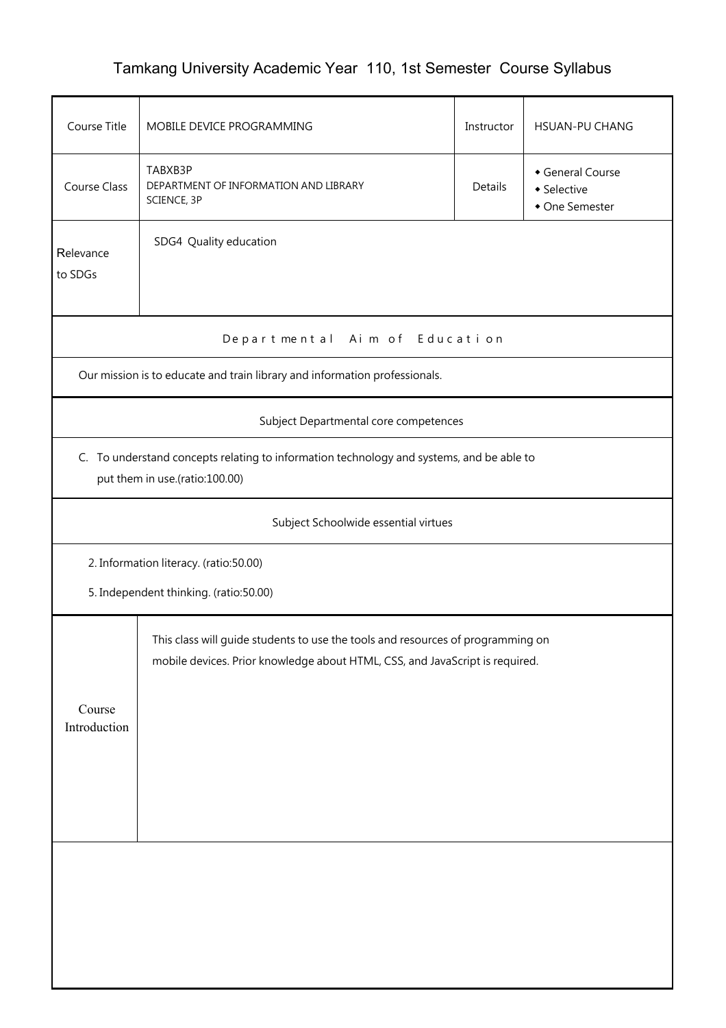## Tamkang University Academic Year 110, 1st Semester Course Syllabus

| Course Title                                                                                                               | MOBILE DEVICE PROGRAMMING                                                                                                                                       | Instructor | <b>HSUAN-PU CHANG</b> |  |  |  |  |  |
|----------------------------------------------------------------------------------------------------------------------------|-----------------------------------------------------------------------------------------------------------------------------------------------------------------|------------|-----------------------|--|--|--|--|--|
| Course Class                                                                                                               | TABXB3P<br>General Course<br>DEPARTMENT OF INFORMATION AND LIBRARY<br><b>Details</b><br>• Selective<br>SCIENCE, 3P<br>• One Semester                            |            |                       |  |  |  |  |  |
| Relevance<br>to SDGs                                                                                                       | SDG4 Quality education                                                                                                                                          |            |                       |  |  |  |  |  |
| Departmental Aim of Education                                                                                              |                                                                                                                                                                 |            |                       |  |  |  |  |  |
| Our mission is to educate and train library and information professionals.                                                 |                                                                                                                                                                 |            |                       |  |  |  |  |  |
| Subject Departmental core competences                                                                                      |                                                                                                                                                                 |            |                       |  |  |  |  |  |
| C. To understand concepts relating to information technology and systems, and be able to<br>put them in use.(ratio:100.00) |                                                                                                                                                                 |            |                       |  |  |  |  |  |
|                                                                                                                            | Subject Schoolwide essential virtues                                                                                                                            |            |                       |  |  |  |  |  |
|                                                                                                                            | 2. Information literacy. (ratio:50.00)                                                                                                                          |            |                       |  |  |  |  |  |
|                                                                                                                            | 5. Independent thinking. (ratio:50.00)                                                                                                                          |            |                       |  |  |  |  |  |
| Course                                                                                                                     | This class will guide students to use the tools and resources of programming on<br>mobile devices. Prior knowledge about HTML, CSS, and JavaScript is required. |            |                       |  |  |  |  |  |
| Introduction                                                                                                               |                                                                                                                                                                 |            |                       |  |  |  |  |  |
|                                                                                                                            |                                                                                                                                                                 |            |                       |  |  |  |  |  |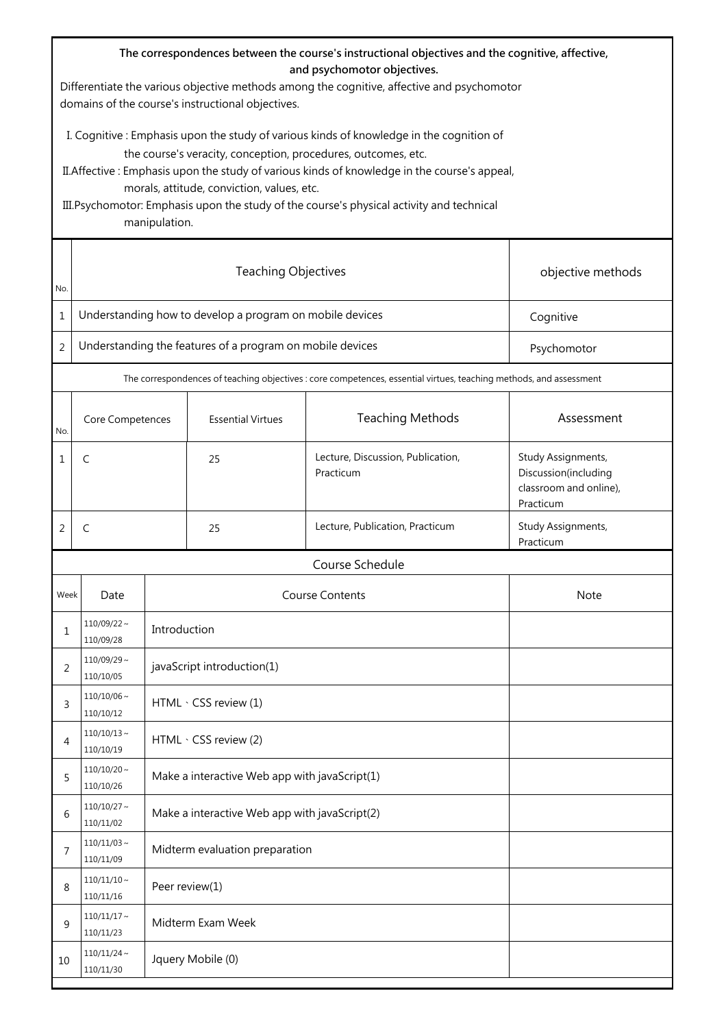| The correspondences between the course's instructional objectives and the cognitive, affective,<br>and psychomotor objectives.<br>Differentiate the various objective methods among the cognitive, affective and psychomotor<br>domains of the course's instructional objectives. |                                                                                                                                                                                                                                                                                                                                                                                                                       |                                |                                               |                                                |                                                                                   |  |  |
|-----------------------------------------------------------------------------------------------------------------------------------------------------------------------------------------------------------------------------------------------------------------------------------|-----------------------------------------------------------------------------------------------------------------------------------------------------------------------------------------------------------------------------------------------------------------------------------------------------------------------------------------------------------------------------------------------------------------------|--------------------------------|-----------------------------------------------|------------------------------------------------|-----------------------------------------------------------------------------------|--|--|
|                                                                                                                                                                                                                                                                                   | I. Cognitive : Emphasis upon the study of various kinds of knowledge in the cognition of<br>the course's veracity, conception, procedures, outcomes, etc.<br>II. Affective: Emphasis upon the study of various kinds of knowledge in the course's appeal,<br>morals, attitude, conviction, values, etc.<br>III. Psychomotor: Emphasis upon the study of the course's physical activity and technical<br>manipulation. |                                |                                               |                                                |                                                                                   |  |  |
| No.                                                                                                                                                                                                                                                                               | <b>Teaching Objectives</b><br>objective methods                                                                                                                                                                                                                                                                                                                                                                       |                                |                                               |                                                |                                                                                   |  |  |
| 1                                                                                                                                                                                                                                                                                 | Understanding how to develop a program on mobile devices                                                                                                                                                                                                                                                                                                                                                              |                                |                                               |                                                | Cognitive                                                                         |  |  |
| 2                                                                                                                                                                                                                                                                                 | Understanding the features of a program on mobile devices<br>Psychomotor                                                                                                                                                                                                                                                                                                                                              |                                |                                               |                                                |                                                                                   |  |  |
|                                                                                                                                                                                                                                                                                   | The correspondences of teaching objectives : core competences, essential virtues, teaching methods, and assessment                                                                                                                                                                                                                                                                                                    |                                |                                               |                                                |                                                                                   |  |  |
| No.                                                                                                                                                                                                                                                                               | Core Competences                                                                                                                                                                                                                                                                                                                                                                                                      |                                | <b>Essential Virtues</b>                      | <b>Teaching Methods</b>                        | Assessment                                                                        |  |  |
| 1                                                                                                                                                                                                                                                                                 | C                                                                                                                                                                                                                                                                                                                                                                                                                     |                                | 25                                            | Lecture, Discussion, Publication,<br>Practicum | Study Assignments,<br>Discussion(including<br>classroom and online),<br>Practicum |  |  |
| 2                                                                                                                                                                                                                                                                                 | C                                                                                                                                                                                                                                                                                                                                                                                                                     |                                | 25                                            | Lecture, Publication, Practicum                | Study Assignments,<br>Practicum                                                   |  |  |
|                                                                                                                                                                                                                                                                                   | Course Schedule                                                                                                                                                                                                                                                                                                                                                                                                       |                                |                                               |                                                |                                                                                   |  |  |
| Week                                                                                                                                                                                                                                                                              | <b>Course Contents</b><br>Note<br>Date                                                                                                                                                                                                                                                                                                                                                                                |                                |                                               |                                                |                                                                                   |  |  |
| 1                                                                                                                                                                                                                                                                                 | $110/09/22$ ~<br>110/09/28                                                                                                                                                                                                                                                                                                                                                                                            |                                | Introduction                                  |                                                |                                                                                   |  |  |
| 2                                                                                                                                                                                                                                                                                 | $110/09/29$ ~<br>110/10/05                                                                                                                                                                                                                                                                                                                                                                                            |                                | javaScript introduction(1)                    |                                                |                                                                                   |  |  |
| 3                                                                                                                                                                                                                                                                                 | $110/10/06 \sim$<br>110/10/12                                                                                                                                                                                                                                                                                                                                                                                         |                                | HTML · CSS review (1)                         |                                                |                                                                                   |  |  |
| 4                                                                                                                                                                                                                                                                                 | $110/10/13$ ~<br>110/10/19                                                                                                                                                                                                                                                                                                                                                                                            |                                | HTML · CSS review (2)                         |                                                |                                                                                   |  |  |
| 5                                                                                                                                                                                                                                                                                 | $110/10/20 \sim$<br>110/10/26                                                                                                                                                                                                                                                                                                                                                                                         |                                | Make a interactive Web app with javaScript(1) |                                                |                                                                                   |  |  |
| 6                                                                                                                                                                                                                                                                                 | $110/10/27$ ~<br>110/11/02                                                                                                                                                                                                                                                                                                                                                                                            |                                | Make a interactive Web app with javaScript(2) |                                                |                                                                                   |  |  |
| 7                                                                                                                                                                                                                                                                                 | $110/11/03$ ~<br>110/11/09                                                                                                                                                                                                                                                                                                                                                                                            | Midterm evaluation preparation |                                               |                                                |                                                                                   |  |  |
| 8                                                                                                                                                                                                                                                                                 | $110/11/10 \sim$<br>110/11/16                                                                                                                                                                                                                                                                                                                                                                                         | Peer review(1)                 |                                               |                                                |                                                                                   |  |  |
| 9                                                                                                                                                                                                                                                                                 | $110/11/17$ ~<br>110/11/23                                                                                                                                                                                                                                                                                                                                                                                            | Midterm Exam Week              |                                               |                                                |                                                                                   |  |  |
| 10                                                                                                                                                                                                                                                                                | $110/11/24$ ~<br>110/11/30                                                                                                                                                                                                                                                                                                                                                                                            | Jquery Mobile (0)              |                                               |                                                |                                                                                   |  |  |